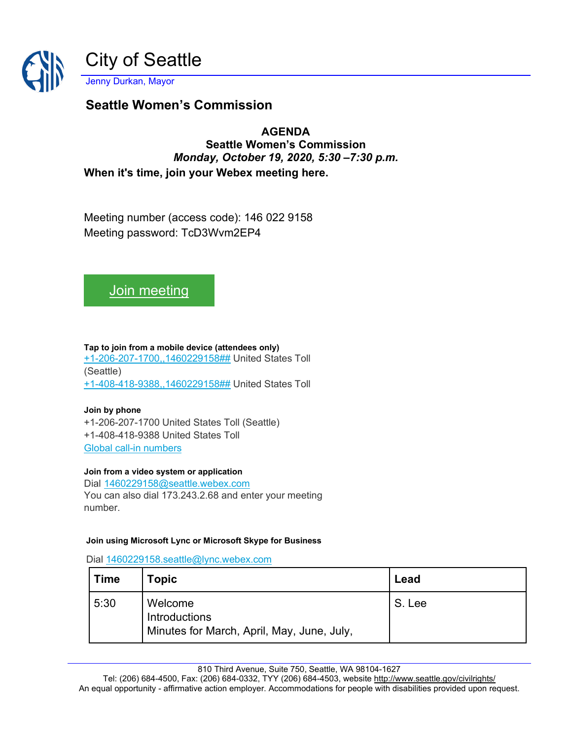

## **Seattle Women's Commission**

### **AGENDA**

**Seattle Women's Commission** *Monday, October 19, 2020, 5:30 –7:30 p.m.* **When it's time, join your Webex meeting here.**

Meeting number (access code): 146 022 9158 Meeting password: TcD3Wvm2EP4

# [Join meeting](https://seattle.webex.com/seattle/j.php?MTID=m9f9e22b6b52ca3d5ec3aed05898c8bc7)

**Tap to join from a mobile device (attendees only)** [+1-206-207-1700,,1460229158##](tel:%2B1-206-207-1700,,*01*1460229158%23%23*01*) United States Toll (Seattle) [+1-408-418-9388,,1460229158##](tel:%2B1-408-418-9388,,*01*1460229158%23%23*01*) United States Toll

#### **Join by phone**

+1-206-207-1700 United States Toll (Seattle) +1-408-418-9388 United States Toll [Global call-in numbers](https://seattle.webex.com/seattle/globalcallin.php?MTID=m2f00cedd1a12d99847f09b4e6c1bca14)

#### **Join from a video system or application**

Dial [1460229158@seattle.webex.com](sip:1460229158@seattle.webex.com) You can also dial 173.243.2.68 and enter your meeting number.

#### **Join using Microsoft Lync or Microsoft Skype for Business**

Dial [1460229158.seattle@lync.webex.com](sip:1460229158.seattle@lync.webex.com)

| ∣ Time | <b>Topic</b>                                                           | Lead   |
|--------|------------------------------------------------------------------------|--------|
| 5:30   | Welcome<br>Introductions<br>Minutes for March, April, May, June, July, | S. Lee |

810 Third Avenue, Suite 750, Seattle, WA 98104-1627

Tel: (206) 684-4500, Fax: (206) 684-0332, TYY (206) 684-4503, websit[e http://www.seattle.gov/civilrights/](http://www.seattle.gov/civilrights/) An equal opportunity - affirmative action employer. Accommodations for people with disabilities provided upon request.